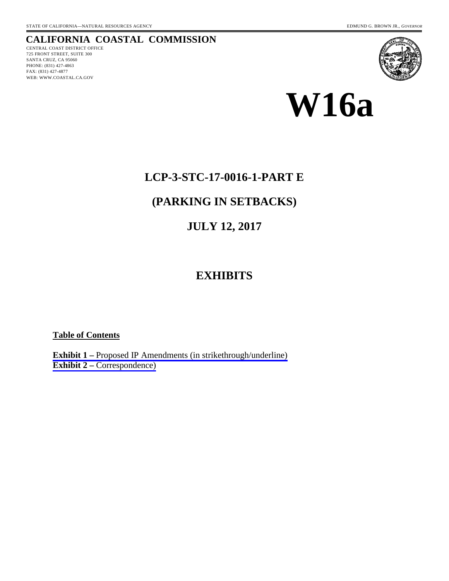### **CALIFORNIA COASTAL COMMISSION**

CENTRAL COAST DISTRICT OFFICE 725 FRONT STREET, SUITE 300 SANTA CRUZ, CA 95060 PHONE: (831) 427-4863 FAX: (831) 427-4877 WEB: WWW.COASTAL.CA.GOV





### **LCP-3-STC-17-0016-1-PART E**

# **(PARKING IN SETBACKS)**

## **JULY 12, 2017**

# **EXHIBITS**

### **Table of Contents**

**Exhibit 1 –** [Proposed IP Amendments \(in strikethrough/underline\)](#page-1-0) **Exhibit 2 – [Correspondence\)](#page-2-0)**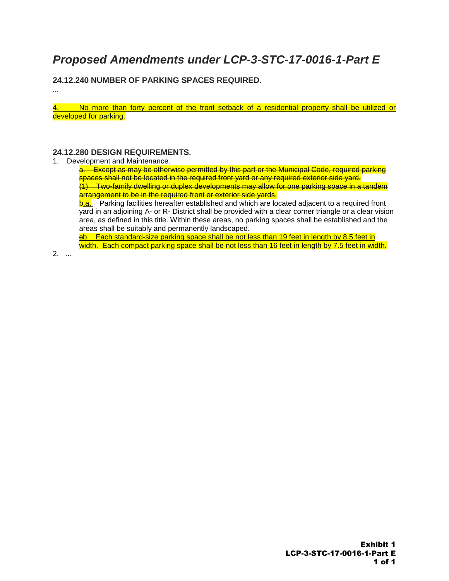# <span id="page-1-0"></span>*Proposed Amendments under LCP-3-STC-17-0016-1-Part E*

**24.12.240 NUMBER OF PARKING SPACES REQUIRED.**

4. No more than forty percent of the front setback of a residential property shall be utilized or developed for parking.

#### **24.12.280 DESIGN REQUIREMENTS.**

1. Development and Maintenance.

a. Except as may be otherwise permitted by this part or the Municipal Code, required parking spaces shall not be located in the required front yard or any required exterior side yard. (1) Two-family dwelling or duplex developments may allow for one parking space in a tandem arrangement to be in the required front or exterior side vards.

**b.a.** Parking facilities hereafter established and which are located adjacent to a required front yard in an adjoining A- or R- District shall be provided with a clear corner triangle or a clear vision area, as defined in this title. Within these areas, no parking spaces shall be established and the areas shall be suitably and permanently landscaped.

cb. Each standard-size parking space shall be not less than 19 feet in length by 8.5 feet in width. Each compact parking space shall be not less than 16 feet in length by 7.5 feet in width.

2. …

…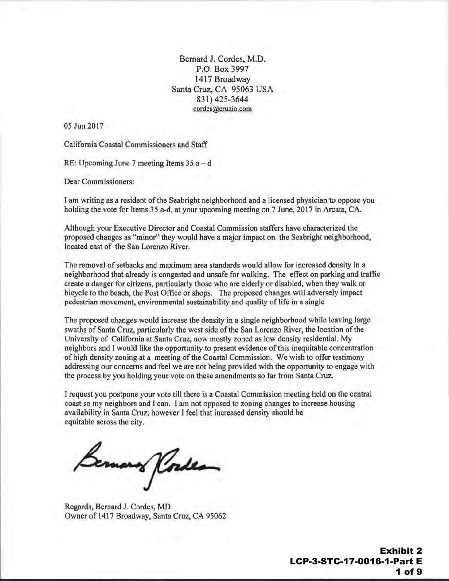Bernard J. Cordes, M.D. P.O. Box 3997 1417 Broadway Santa Cruz, CA 95063 USA 831) 425-3644 cordes@cruzio.com

<span id="page-2-0"></span>05 Jun 2017

California Coastal Commissioners and Staff

RE: Upcoming June 7 meeting Items  $35a - d$ 

Dear Commissioners:

I am writing as a resident of the Seabright neighborhood and a licensed physician to oppose you holding the vote for Items 35 a-d, at your upcoming meeting on 7 June, 2017 in Arcata, CA.

Although your Executive Director and Coastal Commission staffers have characterized the proposed changes as "minor" they would have a major impact on the Seabright neighborhood, located east of the San Lorenzo River.

The removal of setbacks and maximum area standards would allow for increased density in a neighborhood that already is congested and unsafe for walking. The effect on parking and traffic create a danger for citizens, particularly those who are elderly or disabled, when they walk or bicycle to the beach, the Post Office or shops. The proposed changes will adversely impact pedestrian movement, environmental sustainability and quality of life in a single

The proposed changes would increase the density in a single neighborhood while leaving large swaths of Santa Cruz, particularly the west side of the San Lorenzo River, the location of the University of California at Santa Cruz, now mostly zoned as low density residential. My neighbors and I would like the opportunity to present evidence of this inequitable concentration of high density zoning at a meeting of the Coastal Commission. We wish to offer testimony addressing our concerns and feel we are not being provided with the opportunity to engage with the process by you holding your vote on these amendments so far from Santa Cruz.

I request you postpone your vote till there is a Coastal Commission meeting held on the central coast so my neighbors and I can. I am not opposed to zoning changes to increase housing availability in Santa Cruz; however I feel that increased density should be equitable across the city.

emano Korde

Regards, Bernard J. Cordes, MD Owner of 1417 Broadway, Santa Cruz, CA 95062

Exhibit 2 LCP-3-STC-17-0016-1-Part E 1 of 9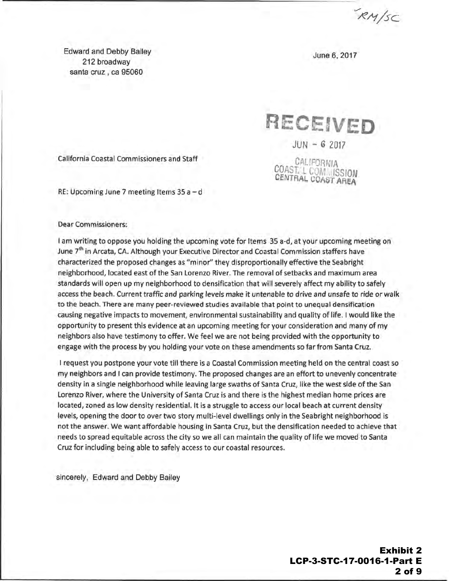$RN/sc$ 

Edward and Debby Bailey 212 broadway santa cruz , ca 95060

June 6, 2017

RECEIVED

 $JUN - 62017$ 

**CALIFORNIA** COASt L COM ISSION CENTRAL COAST AREA

California Coastal Commissioners and Staff

RE: Upcoming June 7 meeting Items  $35a-d$ 

#### Dear Commissioners:

I am writing to oppose you holding the upcoming vote for Items 35 a-d, at your upcoming meeting on June 7<sup>th</sup> in Arcata, CA. Although your Executive Director and Coastal Commission staffers have characterized the proposed changes as "minor'' they disproportionally effective the Seabright neighborhood, located east of the San Lorenzo River. The removal of setbacks and maximum area standards will open up my neighborhood to densification that will severely affect my ability to safely access the beach. Current traffic and parking levels make it untenable to drive and unsafe to ride or walk to the beach. There are many peer-reviewed studies available that point to unequal densification causing negative impacts to movement, environmental sustainability and quality of life. I would like the opportunity to present this evidence at an upcoming meeting for your consideration and many of my neighbors also have testimony to offer. We feel we are not being provided with the opportunity to engage with the process by you holding your vote on these amendments so far from Santa Cruz.

I request you postpone your vote till there is a Coastal Commission meeting held on the central coast so my neighbors and I can provide testimony. The proposed changes are an effort to unevenly concentrate density in a single neighborhood while leaving large swaths of Santa Cruz, like the west side of the San Lorenzo River, where the University of Santa Cruz is and there is the highest median home prices are located, zoned as low density residential. It is a struggle to access our local beach at current density levels, opening the door to over two story multi-level dwellings only in the Seabright neighborhood is not the answer. We want affordable housing in Santa Cruz, but the densification needed to achieve that needs to spread equitable across the city so we all can maintain the quality of life we moved to Santa Cruz for including being able to safely access to our coastal resources.

sincerely, Edward and Debby Bailey

Exhibit 2 LCP-3-STC-17-0016-1-Part E 2 of 9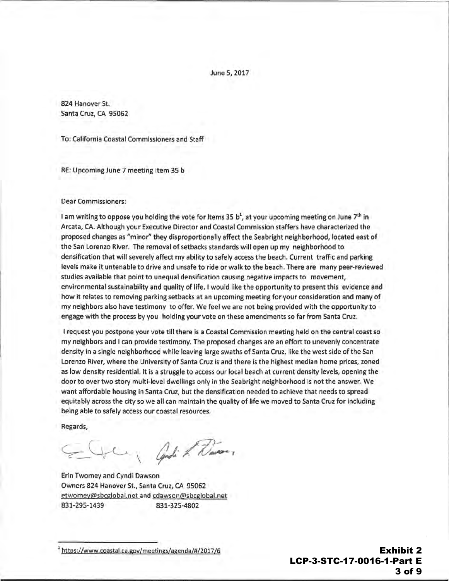June 5, 2017

824 Hanover St. Santa Cruz, CA 95062

To: California Coastal Commissioners and Staff

RE: Upcoming June 7 meeting Item 35 b

#### Dear Commissioners:

I am writing to oppose you holding the vote for Items 35  $b<sup>1</sup>$ , at your upcoming meeting on June 7<sup>th</sup> in Arcata, CA. Although your Executive Director and Coastal Commission staffers have characterized the proposed changes as "minor'' they disproportionally affect the Seabright neighborhood, located east of the San Lorenzo River. The removal of setbacks standards will open up my neighborhood to densification that will severely affect my ability to safely access the beach. Current traffic and parking levels make it untenable to drive and unsafe to ride or walk to the beach. There are many peer-reviewed studies available that point to unequal densification causing negative impacts to movement, environmental sustainability and quality of life. I would like the opportunity to present this evidence and how it relates to removing parking setbacks at an upcoming meeting for your consideration and many of my neighbors also have testimony to offer. We feel we are not being provided with the opportunity to engage with the process by you holding your vote on these amendments so far from Santa Cruz.

I request you postpone your vote till there is a Coastal Commission meeting held on the central coast so my neighbors and I can provide testimony. The proposed changes are an effort to unevenly concentrate density in a single neighborhood while leaving large swaths of Santa Cruz, like the west side of the San Lorenzo River, where the University of Santa Cruz is and there is the highest median home prices, zoned as low density residential. It is a struggle to access our local beach at current density levels, opening the door to over two story multi-level dwellings only in the Seabright neighborhood is not the answer. We want affordable housing in Santa Cruz, but the densification needed to achieve that needs to spread equitably across the city so we all can maintain the quality of life we moved to Santa Cruz for including being able to safely access our coastal resources.

Regards,

 $\subset \cup$ Candi & Wanter

Erin Twomey and Cyndi Dawson Owners 824 Hanover St., Santa Cruz, CA 95062 etwomey@sbcglobal.net and cdawson@sbcglobal.net 831-295-1439 831-325-4802

<sup>1</sup>https://www.coastal.ca.gov/meetings/agenda/#/2017/6

Exhibit 2 LCP-3-STC-17-0016-1-Part E 3 of 9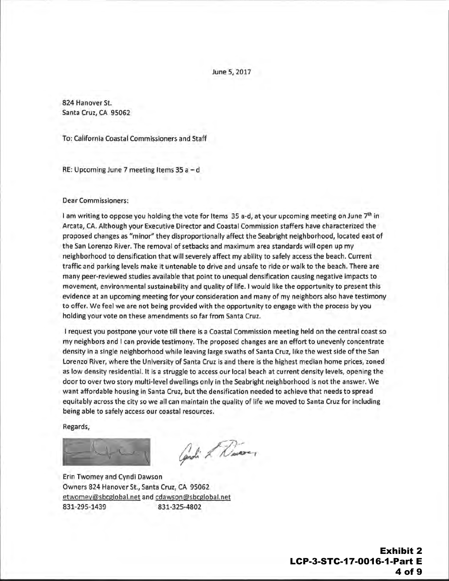June 5, 2017

824 Hanover St. Santa Cruz, CA 95062

To: California Coastal Commissioners and Staff

RE: Upcoming June 7 meeting Items 35 a-d

Dear Commissioners:

I am writing to oppose you holding the vote for Items 35 a-d, at your upcoming meeting on June 7th in Arcata, CA. Although your Executive Director and Coastal Commission staffers have characterized the proposed changes as "minor" they disproportionally affect the Seabright neighborhood, located east of the San Lorenzo River. The removal of setbacks and maximum area standards will open up my neighborhood to densification that will severely affect my ability to safely access the beach. Current traffic and parking levels make it untenable to drive and unsafe to ride or walk to the beach. There are many peer-reviewed studies available that point to unequal densification causing negative impacts to movement, environmental sustainability and quality of life. I would like the opportunity to present this evidence at an upcoming meeting for your consideration and many of my neighbors also have testimony to offer. We feel we are not being provided with the opportunity to engage with the process by you holding your vote on these amendments so far from Santa Cruz.

I request you postpone your vote till there is a Coastal Commission meeting held on the central coast so my neighbors and I can provide testimony. The proposed changes are an effort to unevenly concentrate density in a single neighborhood while leaving large swaths of Santa Cruz, like the west side of the San Lorenzo River, where the University of Santa Cruz is and there is the highest median home prices, zoned as low density residential. It is a struggle to access our local beach at current density levels, opening the door to over two story multi-level dwellings only in the Seabright neighborhood is not the answer. We want affordable housing in Santa Cruz, but the densification needed to achieve that needs to spread equitably across the city so we all can maintain the quality of life we moved to Santa Cruz for including being able to safely access our coastal resources.

Regards,

Candi & Dinoe,

Erin Twomey and Cyndi Dawson Owners 824 Hanover St., Santa Cruz, CA 95062 etwomey@sbcglobal.net and cdawson@sbcglobal.net 831-295-1439 831-325-4802

> Exhibit 2 LCP-3-STC-17-0016-1-Part E 4 of 9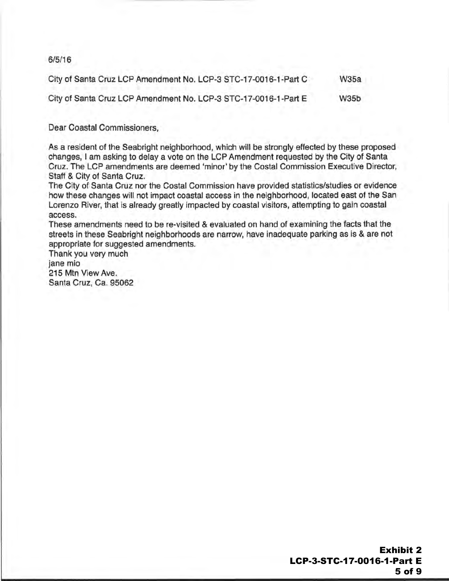### 6/5/16

| City of Santa Cruz LCP Amendment No. LCP-3 STC-17-0016-1-Part C<br><b>W35a</b> |
|--------------------------------------------------------------------------------|
|--------------------------------------------------------------------------------|

City of Santa Cruz LCP Amendment No. LCP-3 STC-17-0016-1-Part E W35b

### Dear Coastal Commissioners,

As a resident of the Seabright neighborhood, which will be strongly effected by these proposed changes, I am asking to delay a vote on the LCP Amendment requested by the City of Santa Cruz. The LCP amendments are deemed 'minor' by the Costal Commission Executive Director, Staff & City of Santa Cruz.

The City of Santa Cruz nor the Costal Commission have provided statistics/studies or evidence how these changes will not impact coastal access in the neighborhood, located east of the San Lorenzo River, that is already greatly impacted by coastal visitors, attempting to gain coastal access.

These amendments need to be re-visited & evaluated on hand of examining the facts that the streets in these Seabright neighborhoods are narrow, have inadequate parking as is & are not appropriate for suggested amendments.

Thank you very much jane mio 215 Mtn View Ave. Santa Cruz, Ca. 95062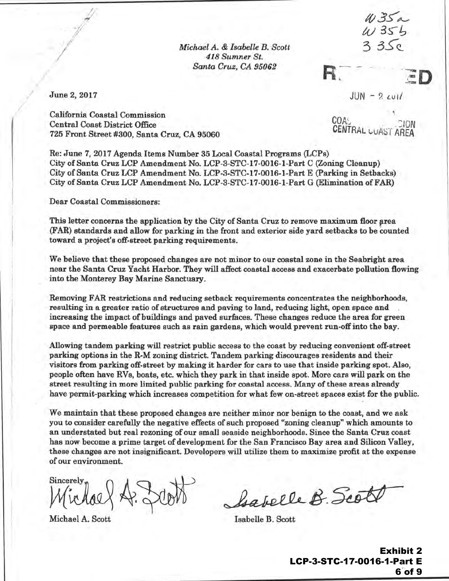*Michael A. & Isabelle B. Scott 418 Sumner St. Santa Cruz, CA 95062* 

 $W35a$  $W355$  $3.35c$ 

 $\overline{D}$ 

June 2, 2017

 $JUN - 2$   $\omega l$ 

California Coastal Commission Central Coast District Office 725 Front Street #300, Santa Cruz, CA 95060 ·

 $\mathcal{L}$ COA: .<br>CENTRAL CION CENTRAL CUAST AREA

Re: June 7, 2017 Agenda Items Number 35 Local Coastal Programs (LCPs) City of Santa Cruz LCP Amendment No. LCP-3-STC-17-0016-1-Part C (Zoning Cleanup) City of Santa Cruz LCP Amendment No. LCP-3-STC-17-0016-1-Part E (Parking in Setbacks) .City of Santa Cruz LCP Amendment No. LCP-3-STC-17-0016-1-Part G (Elimination of FAR)

Dear Coastal Commissioners:

This letter concerns the application by the City of Santa Cruz to remove maximum floor area (FAR) standards and allow for parking in the front and exterior side yard setbacks to be counted toward a project's off-street parking requirements.

We believe that these proposed changes are not minor to our coastal zone in the Seabright area near the Santa Cruz Yacht Harbor. They will affect coastal access and exacerbate pollution flowing into the Monterey Bay Marine Sanctuary.

Removing FAR restrictions and reducing setback requirements concentrates the neighborhoods, resulting in a greater ratio of structures and paving to land, reducing light, open space and increasing the impact of buildings and paved surfaces. These changes reduce the area for green space and permeable features such as rain gardens, which would prevent run-off into the bay.

Allowing tandem parking will restrict public access to the coast by reducing convenient off-street parking options in the R-M zoning district. Tandem parking discourages residents and their visitors from parking off-street by making it harder for cars to use that inside parking spot. Also, people often have RVs, boats, etc. which they park in that inside spot. More cars will park on the street resulting in more limited public parking for coastal access. Many of these areas already have permit-parking which increases competition for what few on-street spaces exist for the public.

We maintain that these proposed changes are neither minor nor benign to the coast, and we ask you to consider carefully the negative effects of such proposed "zoning cleanup" which amounts to an understated but real rezoning of our small seaside neighborhoods. Since the Santa Cruz coast has now become a prime target of development for the San Francisco Bay area and Silicon Valley, these changes are not insignificant. Developers will utilize them to maximize profit at the expense of our environment.

Sincerely

Michael A. Scott Isabelle B. Scott

I

 $\mathbf{I}$  $\overline{\phantom{a}}$ 

l I

I 'l !

babelle B. Scot

Exhibit 2 LCP-3-STC-17-0016-1-Part E 6 of 9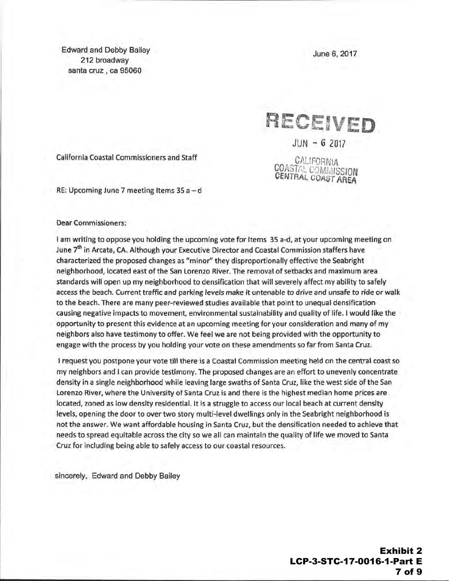Edward and Debby Bailey 212 broadway santa cruz, ca 95060

June 6, 2017

RECEIVED  $JUN - 62017$ CALIFORNIA COASTAL COMMISSION CENTRAL COAST AREA

California Coastal Commissioners and Staff

RE: Upcoming June 7 meeting Items  $35a-d$ 

#### Dear Commissioners:

I am writing to oppose you holding the upcoming vote for Items 35 a-d, at your upcoming meeting on June 7<sup>th</sup> in Arcata, CA. Although your Executive Director and Coastal Commission staffers have characterized the proposed changes as "minor'' they disproportionally effective the Seabright neighborhood, located east of the San lorenzo River. The removal of setbacks and maximum area standards will open up my neighborhood to densification that will severely affect my ability to safely access the beach. Current traffic and parking levels make it untenable to drive and unsafe to ride or walk to the beach. There are many peer-reviewed studies available that point to unequal densification causing negative impacts to movement, environmental sustainability and quality of life. I would like the opportunity to present this evidence at an upcoming meeting for your consideration and many of my neighbors also have testimony to offer. We feel we are not being provided with the opportunity to engage with the process by you holding your vote on these amendments so far from Santa Cruz.

I request you postpone your vote till there is a Coastal Commission meeting held on the central coast so my neighbors and I can provide testimony. The proposed changes are an effort to unevenly concentrate density in a single neighborhood while leaving large swaths of Santa Cruz, like the west side of the San lorenzo River, where the University of Santa Cruz is and there is the highest median home prices are located, zoned as low density residential. It is a struggle to access our local beach at current density levels, opening the door to over two story multi-level dwellings only in the Seabright neighborhood is not the answer. We want affordable housing in Santa Cruz, but the densification needed to achieve that needs to spread equitable across the city so we all can maintain the quality of life we moved to Santa Cruz for including being able to safely access to our coastal resources.

sincerely, Edward and Debby Bailey

Exhibit 2 LCP-3-STC-17-0016-1-Part E 7 of 9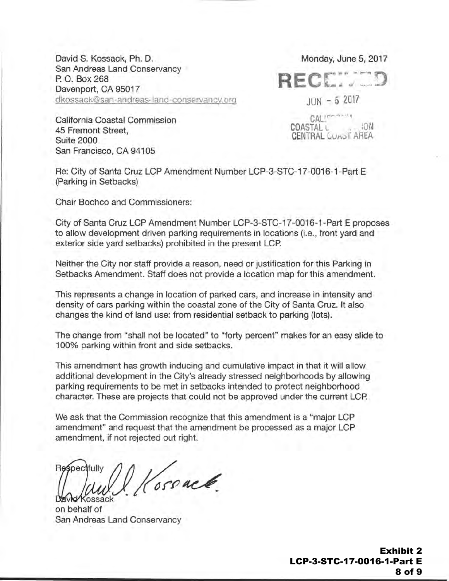David S. Kossack, Ph. D. San Andreas Land Conservancy P. 0. Box 268 Davenport, CA 95017 dkossack@san-andreas-land-conservancy.org Monday, June 5, 2017

RF(

 $JUN - 52017$ 

 $CATU^T$ COASTAL L .•. lQN CENTRAL LUA\)T AHEA

California Coastal Commission 45 Fremont Street, Suite 2000 San Francisco, CA 94105

Re: City of Santa Cruz LCP Amendment Number LCP-3-STC-17 -0016-1-Part E (Parking in Setbacks)

Chair Bochco and Commissioners:

City of Santa Cruz LCP Amendment Number LCP-3-STC-17 -0016-1-Part E proposes to allow development driven parking requirements in locations (i.e., front yard and exterior side yard setbacks) prohibited in the present LCP.

Neither the City nor staff provide a reason, need or justification for this Parking in Setbacks Amendment. Staff does not provide a location map for this amendment.

This represents a change in location of parked cars, and increase in intensity and density of cars parking within the coastal zone of the City of Santa Cruz. It also changes the kind of land use: from residential setback to parking (lots).

The change from "shall not be located" to "forty percent" makes for an easy slide to 100% parking within front and side setbacks.

This amendment has growth inducing and cumulative impact in that it will allow additional development in the City's already stressed neighborhoods by allowing parking requirements to be met in setbacks intended to protect neighborhood character. These are projects that could not be approved under the current LCP.

We ask that the Commission recognize that this amendment is a "major LCP amendment" and request that the amendment be processed as a major LCP amendment, if not rejected out right.

Kossack. **Respectfully**  $\gamma$ 

on behalf of San Andreas Land Conservancy

Exhibit 2 LCP-3-STC-17-0016-1-Part E 8 of 9